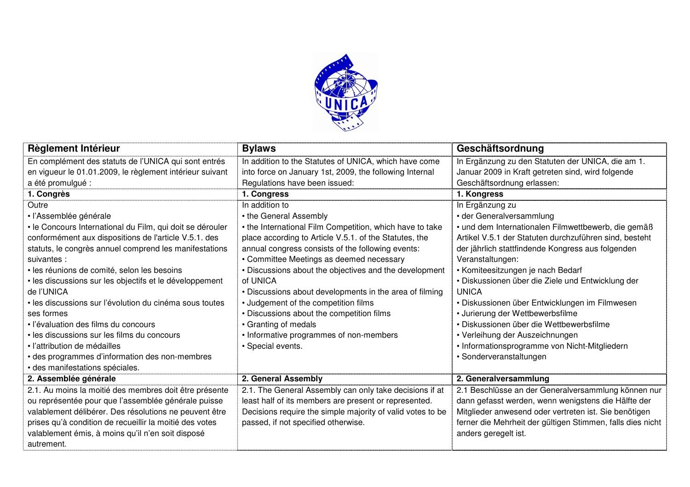

| Règlement Intérieur                                       | <b>Bylaws</b>                                              | Geschäftsordnung                                           |
|-----------------------------------------------------------|------------------------------------------------------------|------------------------------------------------------------|
| En complément des statuts de l'UNICA qui sont entrés      | In addition to the Statutes of UNICA, which have come      | In Ergänzung zu den Statuten der UNICA, die am 1.          |
| en vigueur le 01.01.2009, le règlement intérieur suivant  | into force on January 1st, 2009, the following Internal    | Januar 2009 in Kraft getreten sind, wird folgende          |
| a été promulgué :                                         | Regulations have been issued:                              | Geschäftsordnung erlassen:                                 |
| 1. Congrès                                                | 1. Congress                                                | 1. Kongress                                                |
| Outre                                                     | In addition to                                             | In Ergänzung zu                                            |
| · l'Assemblée générale                                    | • the General Assembly                                     | • der Generalversammlung                                   |
| · le Concours International du Film, qui doit se dérouler | • the International Film Competition, which have to take   | · und dem Internationalen Filmwettbewerb, die gemäß        |
| conformément aux dispositions de l'article V.5.1. des     | place according to Article V.5.1. of the Statutes, the     | Artikel V.5.1 der Statuten durchzuführen sind, besteht     |
| statuts, le congrès annuel comprend les manifestations    | annual congress consists of the following events:          | der jährlich stattfindende Kongress aus folgenden          |
| suivantes :                                               | • Committee Meetings as deemed necessary                   | Veranstaltungen:                                           |
| · les réunions de comité, selon les besoins               | • Discussions about the objectives and the development     | • Komiteesitzungen je nach Bedarf                          |
| · les discussions sur les objectifs et le développement   | of UNICA                                                   | · Diskussionen über die Ziele und Entwicklung der          |
| de l'UNICA                                                | • Discussions about developments in the area of filming    | <b>UNICA</b>                                               |
| · les discussions sur l'évolution du cinéma sous toutes   | • Judgement of the competition films                       | • Diskussionen über Entwicklungen im Filmwesen             |
| ses formes                                                | • Discussions about the competition films                  | • Jurierung der Wettbewerbsfilme                           |
| · l'évaluation des films du concours                      | • Granting of medals                                       | • Diskussionen über die Wettbewerbsfilme                   |
| · les discussions sur les films du concours               | • Informative programmes of non-members                    | • Verleihung der Auszeichnungen                            |
| · l'attribution de médailles                              | · Special events.                                          | • Informationsprogramme von Nicht-Mitgliedern              |
| · des programmes d'information des non-membres            |                                                            | · Sonderveranstaltungen                                    |
| · des manifestations spéciales.                           |                                                            |                                                            |
| 2. Assemblée générale                                     | 2. General Assembly                                        | 2. Generalversammlung                                      |
| 2.1. Au moins la moitié des membres doit être présente    | 2.1. The General Assembly can only take decisions if at    | 2.1 Beschlüsse an der Generalversammlung können nur        |
| ou représentée pour que l'assemblée générale puisse       | least half of its members are present or represented.      | dann gefasst werden, wenn wenigstens die Hälfte der        |
| valablement délibérer. Des résolutions ne peuvent être    | Decisions require the simple majority of valid votes to be | Mitglieder anwesend oder vertreten ist. Sie benötigen      |
| prises qu'à condition de recueillir la moitié des votes   | passed, if not specified otherwise.                        | ferner die Mehrheit der gültigen Stimmen, falls dies nicht |
| valablement émis, à moins qu'il n'en soit disposé         |                                                            | anders geregelt ist.                                       |
| autrement.                                                |                                                            |                                                            |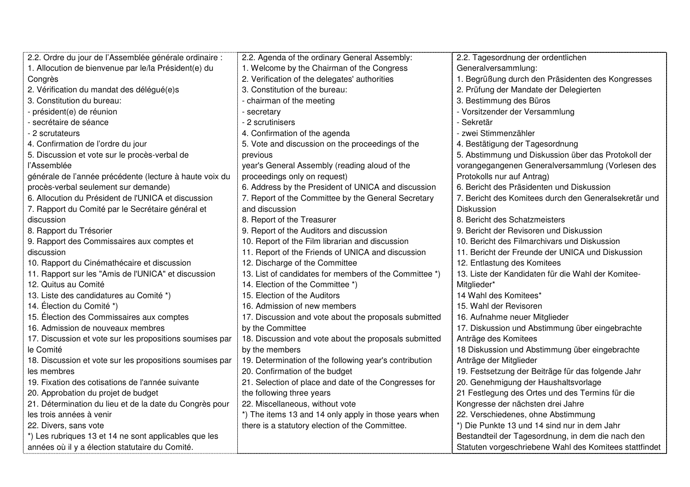| 2.2. Ordre du jour de l'Assemblée générale ordinaire :   | 2.2. Agenda of the ordinary General Assembly:          | 2.2. Tagesordnung der ordentlichen                     |
|----------------------------------------------------------|--------------------------------------------------------|--------------------------------------------------------|
| 1. Allocution de bienvenue par le/la Président(e) du     | 1. Welcome by the Chairman of the Congress             | Generalversammlung:                                    |
| Congrès                                                  | 2. Verification of the delegates' authorities          | 1. Begrüßung durch den Präsidenten des Kongresses      |
| 2. Vérification du mandat des délégué(e)s                | 3. Constitution of the bureau:                         | 2. Prüfung der Mandate der Delegierten                 |
| 3. Constitution du bureau:                               | - chairman of the meeting                              | 3. Bestimmung des Büros                                |
| président(e) de réunion                                  | - secretary                                            | - Vorsitzender der Versammlung                         |
| - secrétaire de séance                                   | - 2 scrutinisers                                       | - Sekretär                                             |
| 2 scrutateurs                                            | 4. Confirmation of the agenda                          | - zwei Stimmenzähler                                   |
| 4. Confirmation de l'ordre du jour                       | 5. Vote and discussion on the proceedings of the       | 4. Bestätigung der Tagesordnung                        |
| 5. Discussion et vote sur le procès-verbal de            | previous                                               | 5. Abstimmung und Diskussion über das Protokoll der    |
| l'Assemblée                                              | year's General Assembly (reading aloud of the          | vorangegangenen Generalversammlung (Vorlesen des       |
| générale de l'année précédente (lecture à haute voix du  | proceedings only on request)                           | Protokolls nur auf Antrag)                             |
| procès-verbal seulement sur demande)                     | 6. Address by the President of UNICA and discussion    | 6. Bericht des Präsidenten und Diskussion              |
| 6. Allocution du Président de l'UNICA et discussion      | 7. Report of the Committee by the General Secretary    | 7. Bericht des Komitees durch den Generalsekretär und  |
| 7. Rapport du Comité par le Secrétaire général et        | and discussion                                         | Diskussion                                             |
| discussion                                               | 8. Report of the Treasurer                             | 8. Bericht des Schatzmeisters                          |
| 8. Rapport du Trésorier                                  | 9. Report of the Auditors and discussion               | 9. Bericht der Revisoren und Diskussion                |
| 9. Rapport des Commissaires aux comptes et               | 10. Report of the Film librarian and discussion        | 10. Bericht des Filmarchivars und Diskussion           |
| discussion                                               | 11. Report of the Friends of UNICA and discussion      | 11. Bericht der Freunde der UNICA und Diskussion       |
| 10. Rapport du Cinémathécaire et discussion              | 12. Discharge of the Committee                         | 12. Entlastung des Komitees                            |
| 11. Rapport sur les "Amis de l'UNICA" et discussion      | 13. List of candidates for members of the Committee *) | 13. Liste der Kandidaten für die Wahl der Komitee-     |
| 12. Quitus au Comité                                     | 14. Election of the Committee *)                       | Mitglieder*                                            |
| 13. Liste des candidatures au Comité *)                  | 15. Election of the Auditors                           | 14 Wahl des Komitees*                                  |
| 14. Élection du Comité *)                                | 16. Admission of new members                           | 15. Wahl der Revisoren                                 |
| 15. Élection des Commissaires aux comptes                | 17. Discussion and vote about the proposals submitted  | 16. Aufnahme neuer Mitglieder                          |
| 16. Admission de nouveaux membres                        | by the Committee                                       | 17. Diskussion und Abstimmung über eingebrachte        |
| 17. Discussion et vote sur les propositions soumises par | 18. Discussion and vote about the proposals submitted  | Anträge des Komitees                                   |
| le Comité                                                | by the members                                         | 18 Diskussion und Abstimmung über eingebrachte         |
| 18. Discussion et vote sur les propositions soumises par | 19. Determination of the following year's contribution | Anträge der Mitglieder                                 |
| les membres                                              | 20. Confirmation of the budget                         | 19. Festsetzung der Beiträge für das folgende Jahr     |
| 19. Fixation des cotisations de l'année suivante         | 21. Selection of place and date of the Congresses for  | 20. Genehmigung der Haushaltsvorlage                   |
| 20. Approbation du projet de budget                      | the following three years                              | 21 Festlegung des Ortes und des Termins für die        |
| 21. Détermination du lieu et de la date du Congrès pour  | 22. Miscellaneous, without vote                        | Kongresse der nächsten drei Jahre                      |
| les trois années à venir                                 | *) The items 13 and 14 only apply in those years when  | 22. Verschiedenes, ohne Abstimmung                     |
| 22. Divers, sans vote                                    | there is a statutory election of the Committee.        | *) Die Punkte 13 und 14 sind nur in dem Jahr           |
| *) Les rubriques 13 et 14 ne sont applicables que les    |                                                        | Bestandteil der Tagesordnung, in dem die nach den      |
| années où il y a élection statutaire du Comité.          |                                                        | Statuten vorgeschriebene Wahl des Komitees stattfindet |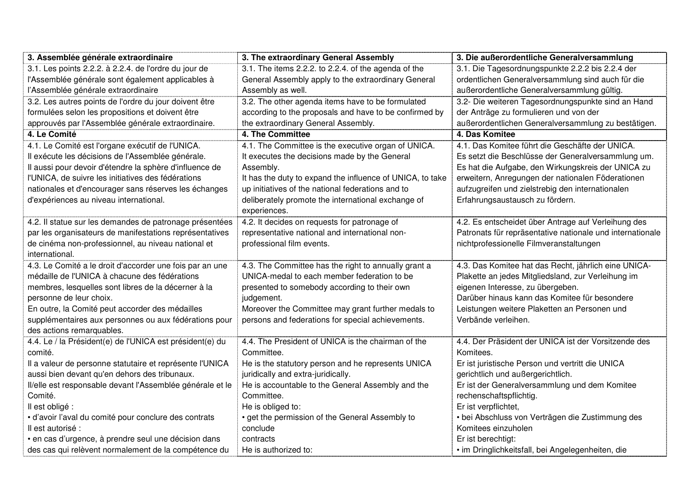| 3. Assemblée générale extraordinaire                      | 3. The extraordinary General Assembly                     | 3. Die außerordentliche Generalversammlung                |
|-----------------------------------------------------------|-----------------------------------------------------------|-----------------------------------------------------------|
| 3.1. Les points 2.2.2. à 2.2.4. de l'ordre du jour de     | 3.1. The items 2.2.2. to 2.2.4. of the agenda of the      | 3.1. Die Tagesordnungspunkte 2.2.2 bis 2.2.4 der          |
| l'Assemblée générale sont également applicables à         | General Assembly apply to the extraordinary General       | ordentlichen Generalversammlung sind auch für die         |
| l'Assemblée générale extraordinaire                       | Assembly as well.                                         | außerordentliche Generalversammlung gültig.               |
| 3.2. Les autres points de l'ordre du jour doivent être    | 3.2. The other agenda items have to be formulated         | 3.2- Die weiteren Tagesordnungspunkte sind an Hand        |
| formulées selon les propositions et doivent être          | according to the proposals and have to be confirmed by    | der Anträge zu formulieren und von der                    |
| approuvés par l'Assemblée générale extraordinaire.        | the extraordinary General Assembly.                       | außerordentlichen Generalversammlung zu bestätigen.       |
| 4. Le Comité                                              | 4. The Committee                                          | 4. Das Komitee                                            |
| 4.1. Le Comité est l'organe exécutif de l'UNICA.          | 4.1. The Committee is the executive organ of UNICA.       | 4.1. Das Komitee führt die Geschäfte der UNICA.           |
| Il exécute les décisions de l'Assemblée générale.         | It executes the decisions made by the General             | Es setzt die Beschlüsse der Generalversammlung um.        |
| Il aussi pour devoir d'étendre la sphère d'influence de   | Assembly.                                                 | Es hat die Aufgabe, den Wirkungskreis der UNICA zu        |
| l'UNICA, de suivre les initiatives des fédérations        | It has the duty to expand the influence of UNICA, to take | erweitern, Anregungen der nationalen Föderationen         |
| nationales et d'encourager sans réserves les échanges     | up initiatives of the national federations and to         | aufzugreifen und zielstrebig den internationalen          |
| d'expériences au niveau international.                    | deliberately promote the international exchange of        | Erfahrungsaustausch zu fördern.                           |
|                                                           | experiences.                                              |                                                           |
| 4.2. Il statue sur les demandes de patronage présentées   | 4.2. It decides on requests for patronage of              | 4.2. Es entscheidet über Antrage auf Verleihung des       |
| par les organisateurs de manifestations représentatives   | representative national and international non-            | Patronats für repräsentative nationale und internationale |
| de cinéma non-professionnel, au niveau national et        | professional film events.                                 | nichtprofessionelle Filmveranstaltungen                   |
| international.                                            |                                                           |                                                           |
| 4.3. Le Comité a le droit d'accorder une fois par an une  | 4.3. The Committee has the right to annually grant a      | 4.3. Das Komitee hat das Recht, jährlich eine UNICA-      |
| médaille de l'UNICA à chacune des fédérations             | UNICA-medal to each member federation to be               | Plakette an jedes Mitgliedsland, zur Verleihung im        |
| membres, lesquelles sont libres de la décerner à la       | presented to somebody according to their own              | eigenen Interesse, zu übergeben.                          |
| personne de leur choix.                                   | judgement.                                                | Darüber hinaus kann das Komitee für besondere             |
| En outre, la Comité peut accorder des médailles           | Moreover the Committee may grant further medals to        | Leistungen weitere Plaketten an Personen und              |
| supplémentaires aux personnes ou aux fédérations pour     | persons and federations for special achievements.         | Verbände verleihen.                                       |
| des actions remarquables.                                 |                                                           |                                                           |
| 4.4. Le / la Président(e) de l'UNICA est président(e) du  | 4.4. The President of UNICA is the chairman of the        | 4.4. Der Präsident der UNICA ist der Vorsitzende des      |
| comité.                                                   | Committee.                                                | Komitees.                                                 |
| Il a valeur de personne statutaire et représente l'UNICA  | He is the statutory person and he represents UNICA        | Er ist juristische Person und vertritt die UNICA          |
| aussi bien devant qu'en dehors des tribunaux.             | juridically and extra-juridically.                        | gerichtlich und außergerichtlich.                         |
| Il/elle est responsable devant l'Assemblée générale et le | He is accountable to the General Assembly and the         | Er ist der Generalversammlung und dem Komitee             |
| Comité.                                                   | Committee.                                                | rechenschaftspflichtig.                                   |
| Il est obligé :                                           | He is obliged to:                                         | Er ist verpflichtet,                                      |
| · d'avoir l'aval du comité pour conclure des contrats     | • get the permission of the General Assembly to           | · bei Abschluss von Verträgen die Zustimmung des          |
| Il est autorisé :                                         | conclude                                                  | Komitees einzuholen                                       |
| · en cas d'urgence, à prendre seul une décision dans      | contracts                                                 | Er ist berechtigt:                                        |
| des cas qui relèvent normalement de la compétence du      | He is authorized to:                                      | · im Dringlichkeitsfall, bei Angelegenheiten, die         |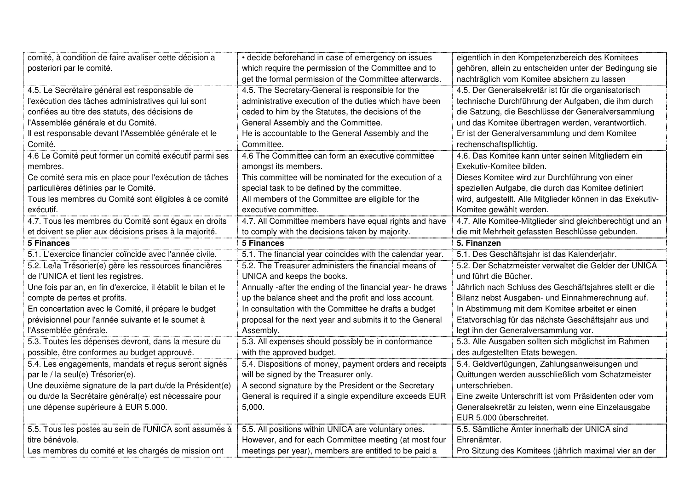| comité, à condition de faire avaliser cette décision a                 | • decide beforehand in case of emergency on issues                                                             | eigentlich in den Kompetenzbereich des Komitees                       |
|------------------------------------------------------------------------|----------------------------------------------------------------------------------------------------------------|-----------------------------------------------------------------------|
| posteriori par le comité.                                              | which require the permission of the Committee and to                                                           | gehören, allein zu entscheiden unter der Bedingung sie                |
|                                                                        | get the formal permission of the Committee afterwards.                                                         | nachträglich vom Komitee absichern zu lassen                          |
| 4.5. Le Secrétaire général est responsable de                          | 4.5. The Secretary-General is responsible for the                                                              | 4.5. Der Generalsekretär ist für die organisatorisch                  |
| l'exécution des tâches administratives qui lui sont                    | administrative execution of the duties which have been                                                         | technische Durchführung der Aufgaben, die ihm durch                   |
| confiées au titre des statuts, des décisions de                        | ceded to him by the Statutes, the decisions of the                                                             | die Satzung, die Beschlüsse der Generalversammlung                    |
| l'Assemblée générale et du Comité.                                     | General Assembly and the Committee.                                                                            | und das Komitee übertragen werden, verantwortlich.                    |
| Il est responsable devant l'Assemblée générale et le                   | He is accountable to the General Assembly and the                                                              | Er ist der Generalversammlung und dem Komitee                         |
| Comité.                                                                | Committee.                                                                                                     | rechenschaftspflichtig.                                               |
| 4.6 Le Comité peut former un comité exécutif parmi ses                 | 4.6 The Committee can form an executive committee                                                              | 4.6. Das Komitee kann unter seinen Mitgliedern ein                    |
| membres.                                                               | amongst its members.                                                                                           | Exekutiv-Komitee bilden.                                              |
| Ce comité sera mis en place pour l'exécution de tâches                 | This committee will be nominated for the execution of a                                                        | Dieses Komitee wird zur Durchführung von einer                        |
| particulières définies par le Comité.                                  | special task to be defined by the committee.                                                                   | speziellen Aufgabe, die durch das Komitee definiert                   |
| Tous les membres du Comité sont éligibles à ce comité                  | All members of the Committee are eligible for the                                                              | wird, aufgestellt. Alle Mitglieder können in das Exekutiv-            |
| exécutif.                                                              | executive committee.                                                                                           | Komitee gewählt werden.                                               |
| 4.7. Tous les membres du Comité sont égaux en droits                   | 4.7. All Committee members have equal rights and have                                                          | 4.7. Alle Komitee-Mitglieder sind gleichberechtigt und an             |
| et doivent se plier aux décisions prises à la majorité.                | to comply with the decisions taken by majority.                                                                | die mit Mehrheit gefassten Beschlüsse gebunden.                       |
| <b>5 Finances</b>                                                      | <b>5 Finances</b>                                                                                              | 5. Finanzen                                                           |
| 5.1. L'exercice financier coïncide avec l'année civile.                | 5.1. The financial year coincides with the calendar year.                                                      | 5.1. Des Geschäftsjahr ist das Kalenderjahr.                          |
|                                                                        |                                                                                                                |                                                                       |
| 5.2. Le/la Trésorier(e) gère les ressources financières                | 5.2. The Treasurer administers the financial means of                                                          | 5.2. Der Schatzmeister verwaltet die Gelder der UNICA                 |
| de l'UNICA et tient les registres.                                     | UNICA and keeps the books.                                                                                     | und führt die Bücher.                                                 |
| Une fois par an, en fin d'exercice, il établit le bilan et le          | Annually -after the ending of the financial year- he draws                                                     | Jährlich nach Schluss des Geschäftsjahres stellt er die               |
| compte de pertes et profits.                                           | up the balance sheet and the profit and loss account.                                                          | Bilanz nebst Ausgaben- und Einnahmerechnung auf.                      |
| En concertation avec le Comité, il prépare le budget                   | In consultation with the Committee he drafts a budget                                                          | In Abstimmung mit dem Komitee arbeitet er einen                       |
| prévisionnel pour l'année suivante et le soumet à                      | proposal for the next year and submits it to the General                                                       | Etatvorschlag für das nächste Geschäftsjahr aus und                   |
| l'Assemblée générale.                                                  | Assembly.                                                                                                      | legt ihn der Generalversammlung vor.                                  |
| 5.3. Toutes les dépenses devront, dans la mesure du                    | 5.3. All expenses should possibly be in conformance                                                            | 5.3. Alle Ausgaben sollten sich möglichst im Rahmen                   |
| possible, être conformes au budget approuvé.                           | with the approved budget.                                                                                      | des aufgestellten Etats bewegen.                                      |
| 5.4. Les engagements, mandats et reçus seront signés                   | 5.4. Dispositions of money, payment orders and receipts                                                        | 5.4. Geldverfügungen, Zahlungsanweisungen und                         |
| par le / la seul(e) Trésorier(e).                                      | will be signed by the Treasurer only.                                                                          | Quittungen werden ausschließlich vom Schatzmeister                    |
| Une deuxième signature de la part du/de la Président(e)                | A second signature by the President or the Secretary                                                           | unterschrieben.                                                       |
| ou du/de la Secrétaire général(e) est nécessaire pour                  | General is required if a single expenditure exceeds EUR                                                        | Eine zweite Unterschrift ist vom Präsidenten oder vom                 |
| une dépense supérieure à EUR 5.000.                                    | 5,000.                                                                                                         | Generalsekretär zu leisten, wenn eine Einzelausgabe                   |
|                                                                        |                                                                                                                | EUR 5.000 überschreitet.                                              |
| 5.5. Tous les postes au sein de l'UNICA sont assumés à                 | 5.5. All positions within UNICA are voluntary ones.                                                            | 5.5. Sämtliche Ämter innerhalb der UNICA sind                         |
| titre bénévole.<br>Les membres du comité et les chargés de mission ont | However, and for each Committee meeting (at most four<br>meetings per year), members are entitled to be paid a | Ehrenämter.<br>Pro Sitzung des Komitees (jährlich maximal vier an der |